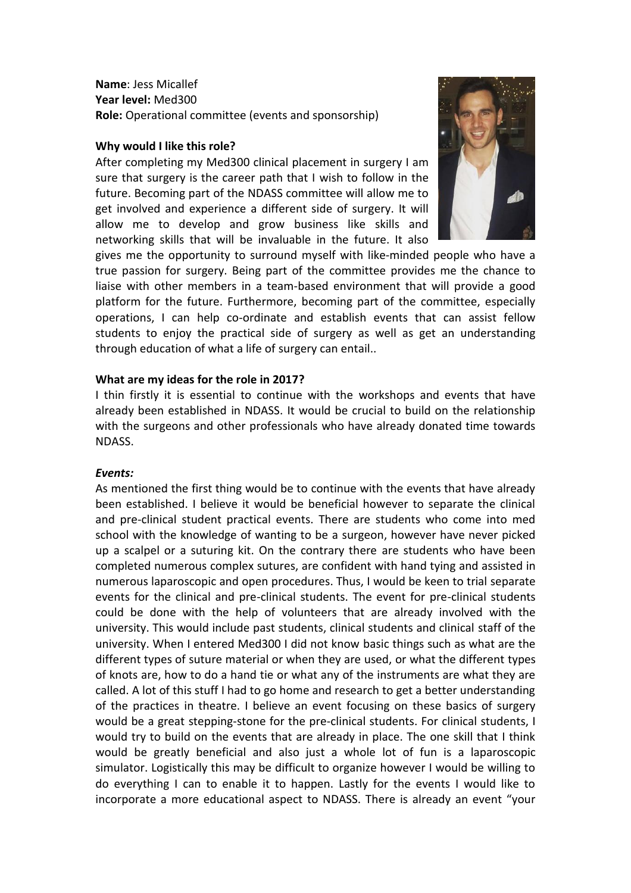**Name**: Jess Micallef **Year level:** Med300 **Role:** Operational committee (events and sponsorship)

### **Why would I like this role?**

After completing my Med300 clinical placement in surgery I am sure that surgery is the career path that I wish to follow in the future. Becoming part of the NDASS committee will allow me to get involved and experience a different side of surgery. It will allow me to develop and grow business like skills and networking skills that will be invaluable in the future. It also



gives me the opportunity to surround myself with like-minded people who have a true passion for surgery. Being part of the committee provides me the chance to liaise with other members in a team-based environment that will provide a good platform for the future. Furthermore, becoming part of the committee, especially operations, I can help co-ordinate and establish events that can assist fellow students to enjoy the practical side of surgery as well as get an understanding through education of what a life of surgery can entail..

#### **What are my ideas for the role in 2017?**

I thin firstly it is essential to continue with the workshops and events that have already been established in NDASS. It would be crucial to build on the relationship with the surgeons and other professionals who have already donated time towards NDASS.

#### *Events:*

As mentioned the first thing would be to continue with the events that have already been established. I believe it would be beneficial however to separate the clinical and pre-clinical student practical events. There are students who come into med school with the knowledge of wanting to be a surgeon, however have never picked up a scalpel or a suturing kit. On the contrary there are students who have been completed numerous complex sutures, are confident with hand tying and assisted in numerous laparoscopic and open procedures. Thus, I would be keen to trial separate events for the clinical and pre-clinical students. The event for pre-clinical students could be done with the help of volunteers that are already involved with the university. This would include past students, clinical students and clinical staff of the university. When I entered Med300 I did not know basic things such as what are the different types of suture material or when they are used, or what the different types of knots are, how to do a hand tie or what any of the instruments are what they are called. A lot of this stuff I had to go home and research to get a better understanding of the practices in theatre. I believe an event focusing on these basics of surgery would be a great stepping-stone for the pre-clinical students. For clinical students, I would try to build on the events that are already in place. The one skill that I think would be greatly beneficial and also just a whole lot of fun is a laparoscopic simulator. Logistically this may be difficult to organize however I would be willing to do everything I can to enable it to happen. Lastly for the events I would like to incorporate a more educational aspect to NDASS. There is already an event "your